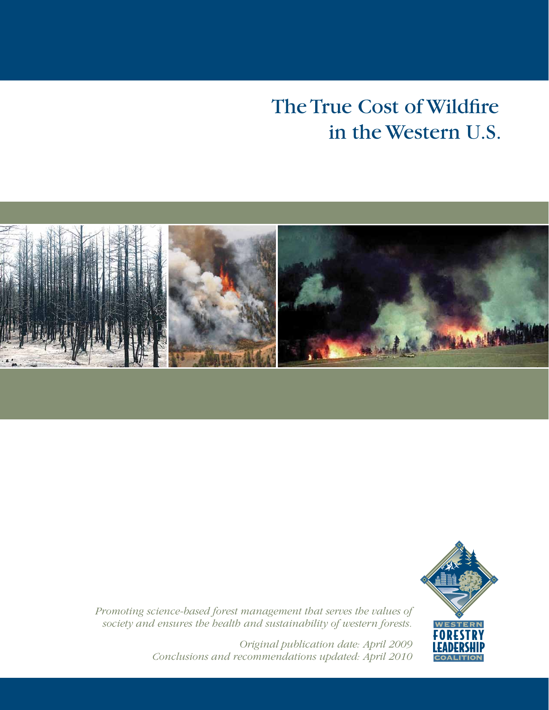# The True Cost of Wildfire in the Western U.S.





*Promoting science-based forest management that serves the values of society and ensures the health and sustainability of western forests.* 

> *Original publication date: April 2009 Conclusions and recommendations updated: April 2010*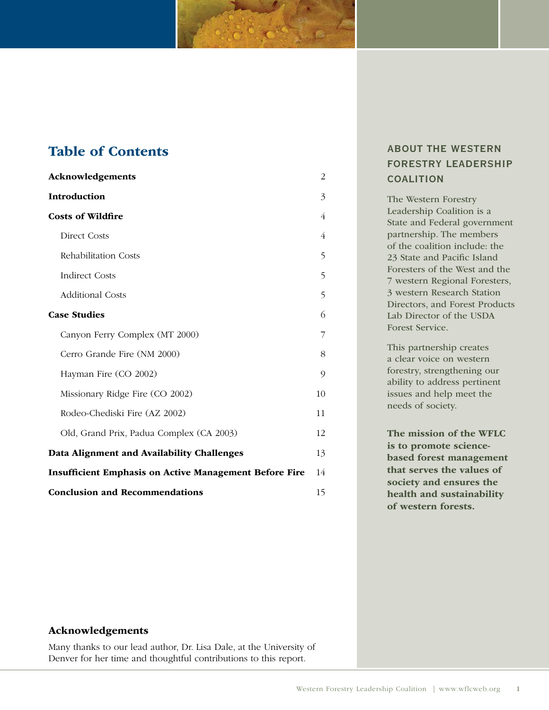## Table of Contents

| Acknowledgements                                              | 2  |  |
|---------------------------------------------------------------|----|--|
| <b>Introduction</b>                                           | 3  |  |
| <b>Costs of Wildfire</b>                                      | 4  |  |
| <b>Direct Costs</b>                                           | 4  |  |
| Rehabilitation Costs                                          | 5  |  |
| <b>Indirect Costs</b>                                         | 5  |  |
| <b>Additional Costs</b>                                       | 5  |  |
| <b>Case Studies</b>                                           | 6  |  |
| Canyon Ferry Complex (MT 2000)                                | 7  |  |
| Cerro Grande Fire (NM 2000)                                   | 8  |  |
| Hayman Fire (CO 2002)                                         | 9  |  |
| Missionary Ridge Fire (CO 2002)                               | 10 |  |
| Rodeo-Chediski Fire (AZ 2002)                                 | 11 |  |
| Old, Grand Prix, Padua Complex (CA 2003)                      | 12 |  |
| Data Alignment and Availability Challenges                    | 13 |  |
| <b>Insufficient Emphasis on Active Management Before Fire</b> |    |  |
| <b>Conclusion and Recommendations</b>                         |    |  |

## about the western forestry leadership **COALITION**

The Western Forestry Leadership Coalition is a State and Federal government partnership. The members of the coalition include: the 23 State and Pacific Island Foresters of the West and the 7 western Regional Foresters, 3 western Research Station Directors, and Forest Products Lab Director of the USDA Forest Service.

This partnership creates a clear voice on western forestry, strengthening our ability to address pertinent issues and help meet the needs of society.

 The mission of the WFLC is to promote science- based forest management that serves the values of society and ensures the health and sustainability of western forests.

#### Acknowledgements

 Many thanks to our lead author, Dr. Lisa Dale, at the University of Denver for her time and thoughtful contributions to this report.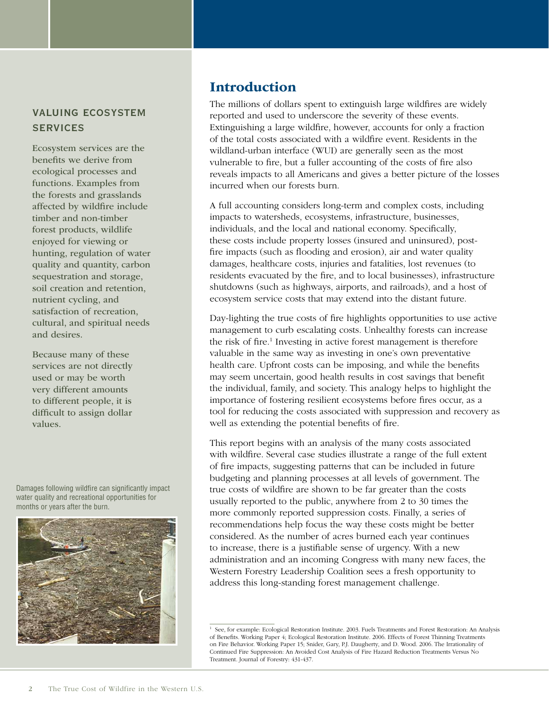## valuing ecosystem **SERVICES**

 and desires. Ecosystem services are the benefits we derive from ecological processes and functions. Examples from the forests and grasslands affected by wildfire include timber and non-timber forest products, wildlife enjoyed for viewing or hunting, regulation of water quality and quantity, carbon sequestration and storage, soil creation and retention, nutrient cycling, and satisfaction of recreation, cultural, and spiritual needs

Because many of these services are not directly used or may be worth very different amounts to different people, it is difficult to assign dollar values.

Damages following wildfire can significantly impact water quality and recreational opportunities for months or years after the burn.



## Introduction

 The millions of dollars spent to extinguish large wildfires are widely reported and used to underscore the severity of these events. Extinguishing a large wildfire, however, accounts for only a fraction of the total costs associated with a wildfire event. Residents in the wildland-urban interface (WUI) are generally seen as the most vulnerable to fire, but a fuller accounting of the costs of fire also reveals impacts to all Americans and gives a better picture of the losses incurred when our forests burn.

 A full accounting considers long-term and complex costs, including impacts to watersheds, ecosystems, infrastructure, businesses, individuals, and the local and national economy. Specifically, these costs include property losses (insured and uninsured), post- fire impacts (such as flooding and erosion), air and water quality damages, healthcare costs, injuries and fatalities, lost revenues (to residents evacuated by the fire, and to local businesses), infrastructure shutdowns (such as highways, airports, and railroads), and a host of ecosystem service costs that may extend into the distant future.

 Day-lighting the true costs of fire highlights opportunities to use active management to curb escalating costs. Unhealthy forests can increase the risk of fire.<sup>1</sup> Investing in active forest management is therefore valuable in the same way as investing in one's own preventative health care. Upfront costs can be imposing, and while the benefits may seem uncertain, good health results in cost savings that benefit the individual, family, and society. This analogy helps to highlight the importance of fostering resilient ecosystems before fires occur, as a tool for reducing the costs associated with suppression and recovery as well as extending the potential benefits of fire.

 This report begins with an analysis of the many costs associated with wildfire. Several case studies illustrate a range of the full extent of fire impacts, suggesting patterns that can be included in future budgeting and planning processes at all levels of government. The true costs of wildfire are shown to be far greater than the costs usually reported to the public, anywhere from 2 to 30 times the more commonly reported suppression costs. Finally, a series of recommendations help focus the way these costs might be better considered. As the number of acres burned each year continues to increase, there is a justifiable sense of urgency. With a new administration and an incoming Congress with many new faces, the Western Forestry Leadership Coalition sees a fresh opportunity to address this long-standing forest management challenge.

<sup>&</sup>lt;sup>1</sup> See, for example: Ecological Restoration Institute. 2003. Fuels Treatments and Forest Restoration: An Analysis of Benefits. Working Paper 4; Ecological Restoration Institute. 2006. Effects of Forest Thinning Treatments on Fire Behavior. Working Paper 15; Snider, Gary, P.J. Daugherty, and D. Wood. 2006. The Irrationality of Continued Fire Suppression: An Avoided Cost Analysis of Fire Hazard Reduction Treatments Versus No Treatment. Journal of Forestry: 431-437.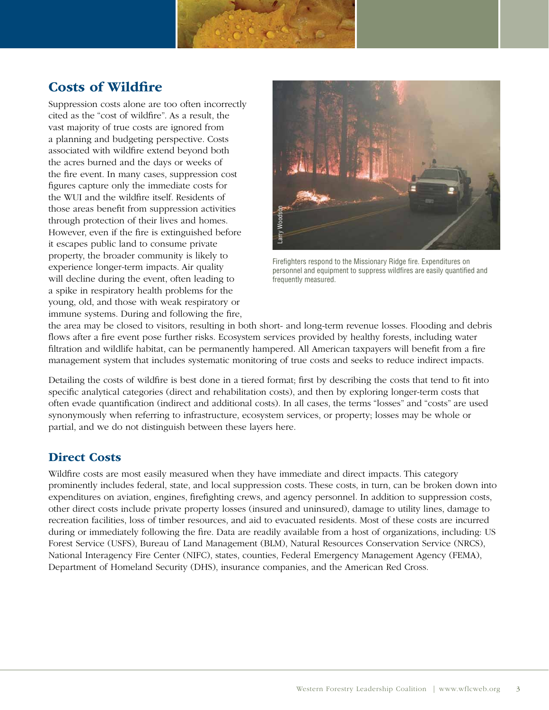## Costs of Wildfire

 Suppression costs alone are too often incorrectly cited as the "cost of wildfire". As a result, the vast majority of true costs are ignored from a planning and budgeting perspective. Costs associated with wildfire extend beyond both the acres burned and the days or weeks of the fire event. In many cases, suppression cost figures capture only the immediate costs for the WUI and the wildfire itself. Residents of those areas benefit from suppression activities through protection of their lives and homes. However, even if the fire is extinguished before it escapes public land to consume private property, the broader community is likely to experience longer-term impacts. Air quality will decline during the event, often leading to a spike in respiratory health problems for the young, old, and those with weak respiratory or immune systems. During and following the fire,



Firefighters respond to the Missionary Ridge fire. Expenditures on personnel and equipment to suppress wildfires are easily quantified and frequently measured.

 the area may be closed to visitors, resulting in both short- and long-term revenue losses. Flooding and debris flows after a fire event pose further risks. Ecosystem services provided by healthy forests, including water filtration and wildlife habitat, can be permanently hampered. All American taxpayers will benefit from a fire management system that includes systematic monitoring of true costs and seeks to reduce indirect impacts.

 Detailing the costs of wildfire is best done in a tiered format; first by describing the costs that tend to fit into specific analytical categories (direct and rehabilitation costs), and then by exploring longer-term costs that often evade quantification (indirect and additional costs). In all cases, the terms "losses" and "costs" are used synonymously when referring to infrastructure, ecosystem services, or property; losses may be whole or partial, and we do not distinguish between these layers here.

## Direct Costs

 Wildfire costs are most easily measured when they have immediate and direct impacts. This category prominently includes federal, state, and local suppression costs. These costs, in turn, can be broken down into expenditures on aviation, engines, firefighting crews, and agency personnel. In addition to suppression costs, other direct costs include private property losses (insured and uninsured), damage to utility lines, damage to recreation facilities, loss of timber resources, and aid to evacuated residents. Most of these costs are incurred during or immediately following the fire. Data are readily available from a host of organizations, including: US Forest Service (USFS), Bureau of Land Management (BLM), Natural Resources Conservation Service (NRCS), National Interagency Fire Center (NIFC), states, counties, Federal Emergency Management Agency (FEMA), Department of Homeland Security (DHS), insurance companies, and the American Red Cross. those areas benefit from suppression activities<br>
However, even if the fire is extinguished before<br>
thexagge public land to consume private<br>
However, even if the fire is extinguished before<br>
Eyotever, even if the fire is ex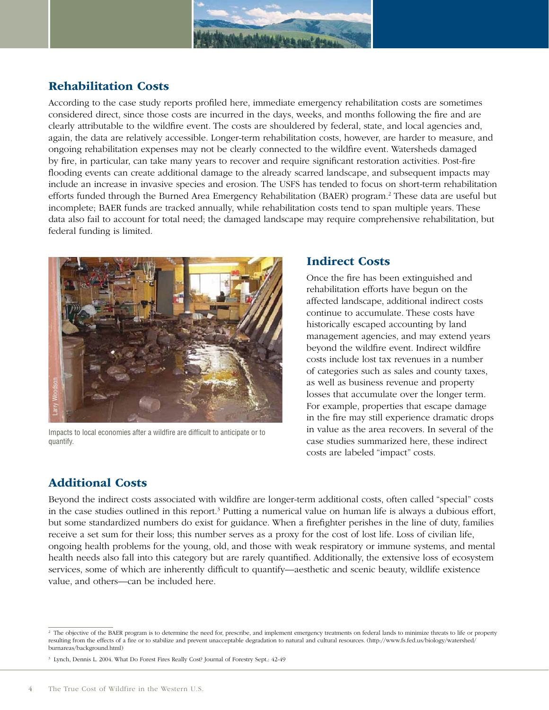

## Rehabilitation Costs

 According to the case study reports profiled here, immediate emergency rehabilitation costs are sometimes considered direct, since those costs are incurred in the days, weeks, and months following the fire and are clearly attributable to the wildfire event. The costs are shouldered by federal, state, and local agencies and, again, the data are relatively accessible. Longer-term rehabilitation costs, however, are harder to measure, and ongoing rehabilitation expenses may not be clearly connected to the wildfire event. Watersheds damaged by fire, in particular, can take many years to recover and require significant restoration activities. Post-fire flooding events can create additional damage to the already scarred landscape, and subsequent impacts may include an increase in invasive species and erosion. The USFS has tended to focus on short-term rehabilitation efforts funded through the Burned Area Emergency Rehabilitation (BAER) program.<sup>2</sup> These data are useful but incomplete; BAER funds are tracked annually, while rehabilitation costs tend to span multiple years. These data also fail to account for total need; the damaged landscape may require comprehensive rehabilitation, but federal funding is limited.



Impacts to local economies after a wildfire are difficult to anticipate or to quantify.

#### Indirect Costs

 Once the fire has been extinguished and rehabilitation efforts have begun on the affected landscape, additional indirect costs continue to accumulate. These costs have historically escaped accounting by land management agencies, and may extend years beyond the wildfire event. Indirect wildfire costs include lost tax revenues in a number of categories such as sales and county taxes, as well as business revenue and property losses that accumulate over the longer term. For example, properties that escape damage in the fire may still experience dramatic drops in value as the area recovers. In several of the case studies summarized here, these indirect costs are labeled "impact" costs.

## Additional Costs

 Beyond the indirect costs associated with wildfire are longer-term additional costs, often called "special" costs in the case studies outlined in this report.<sup>3</sup> Putting a numerical value on human life is always a dubious effort, but some standardized numbers do exist for guidance. When a firefighter perishes in the line of duty, families receive a set sum for their loss; this number serves as a proxy for the cost of lost life. Loss of civilian life, ongoing health problems for the young, old, and those with weak respiratory or immune systems, and mental health needs also fall into this category but are rarely quantified. Additionally, the extensive loss of ecosystem services, some of which are inherently difficult to quantify—aesthetic and scenic beauty, wildlife existence value, and others-can be included here. value of the indicate of the indicate of the indicate of the indicate of the plane of the indirect costs associated with in the case studies outlined in this report.<sup>5</sup> but some standardized numbers do exist freceive a set

<sup>&</sup>lt;sup>2</sup> The objective of the BAER program is to determine the need for, prescribe, and implement emergency treatments on federal lands to minimize threats to life or property resulting from the effects of a fire or to stabilize and prevent unacceptable degradation to natural and cultural resources. (http://www.fs.fed.us/biology/watershed/ burnareas/background.html)

 3 Lynch, Dennis L. 2004. What Do Forest Fires Really Cost? Journal of Forestry Sept.: 42-49.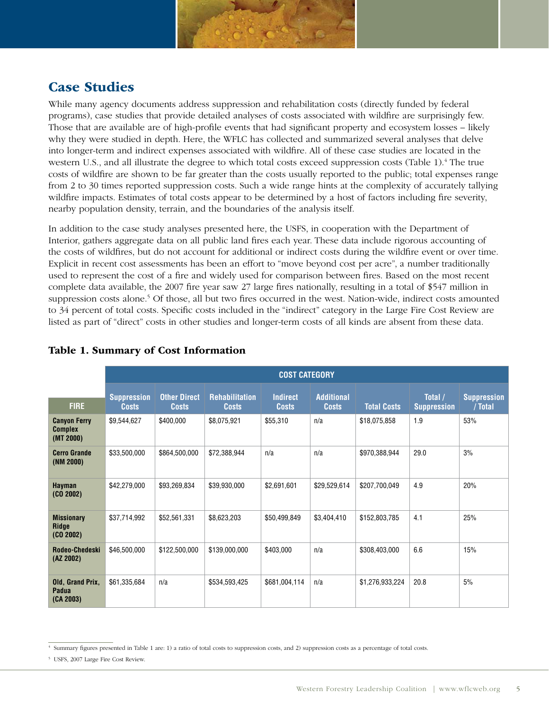

## Case Studies

 While many agency documents address suppression and rehabilitation costs (directly funded by federal programs), case studies that provide detailed analyses of costs associated with wildfire are surprisingly few. Those that are available are of high-profile events that had significant property and ecosystem losses – likely why they were studied in depth. Here, the WFLC has collected and summarized several analyses that delve into longer-term and indirect expenses associated with wildfire. All of these case studies are located in the western U.S., and all illustrate the degree to which total costs exceed suppression costs (Table 1).<sup>4</sup> The true costs of wildfire are shown to be far greater than the costs usually reported to the public; total expenses range from 2 to 30 times reported suppression costs. Such a wide range hints at the complexity of accurately tallying wildfire impacts. Estimates of total costs appear to be determined by a host of factors including fire severity, nearby population density, terrain, and the boundaries of the analysis itself.

 In addition to the case study analyses presented here, the USFS, in cooperation with the Department of Interior, gathers aggregate data on all public land fires each year. These data include rigorous accounting of the costs of wildfires, but do not account for additional or indirect costs during the wildfire event or over time. Explicit in recent cost assessments has been an effort to "move beyond cost per acre", a number traditionally used to represent the cost of a fire and widely used for comparison between fires. Based on the most recent complete data available, the 2007 fire year saw 27 large fires nationally, resulting in a total of \$547 million in suppression costs alone.<sup>5</sup> Of those, all but two fires occurred in the west. Nation-wide, indirect costs amounted to 34 percent of total costs. Specific costs included in the "indirect" category in the Large Fire Cost Review are listed as part of "direct" costs in other studies and longer-term costs of all kinds are absent from these data.

|                                                    | <b>COST CATEGORY</b>               |                                     |                                       |                                 |                                   |                    |                               |                               |  |
|----------------------------------------------------|------------------------------------|-------------------------------------|---------------------------------------|---------------------------------|-----------------------------------|--------------------|-------------------------------|-------------------------------|--|
| <b>FIRE</b>                                        | <b>Suppression</b><br><b>Costs</b> | <b>Other Direct</b><br><b>Costs</b> | <b>Rehabilitation</b><br><b>Costs</b> | <b>Indirect</b><br><b>Costs</b> | <b>Additional</b><br><b>Costs</b> | <b>Total Costs</b> | Total /<br><b>Suppression</b> | <b>Suppression</b><br>/ Total |  |
| <b>Canyon Ferry</b><br><b>Complex</b><br>(MT 2000) | \$9,544,627                        | \$400,000                           | \$8,075,921                           | \$55,310                        | n/a                               | \$18,075,858       | 1.9                           | 53%                           |  |
| <b>Cerro Grande</b><br>(NM 2000)                   | \$33,500,000                       | \$864,500,000                       | \$72,388,944                          | n/a                             | n/a                               | \$970,388,944      | 29.0                          | 3%                            |  |
| Hayman<br>(C0 2002)                                | \$42,279,000                       | \$93,269,834                        | \$39,930,000                          | \$2,691,601                     | \$29,529,614                      | \$207,700,049      | 4.9                           | 20%                           |  |
| <b>Missionary</b><br><b>Ridge</b><br>(C0 2002)     | \$37,714,992                       | \$52,561,331                        | \$8,623,203                           | \$50,499,849                    | \$3,404,410                       | \$152,803,785      | 4.1                           | 25%                           |  |
| Rodeo-Chedeski<br>(AZ 2002)                        | \$46,500,000                       | \$122,500,000                       | \$139,000,000                         | \$403,000                       | n/a                               | \$308,403,000      | 6.6                           | 15%                           |  |
| Old, Grand Prix,<br>Padua<br>(CA 2003)             | \$61,335,684                       | n/a                                 | \$534,593,425                         | \$681,004,114                   | n/a                               | \$1,276,933,224    | 20.8                          | 5%                            |  |

#### Table 1. Summary of Cost Information

5 USFS, 2007 Large Fire Cost Review.

 4 Summary figures presented in Table 1 are: 1) a ratio of total costs to suppression costs, and 2) suppression costs as a percentage of total costs.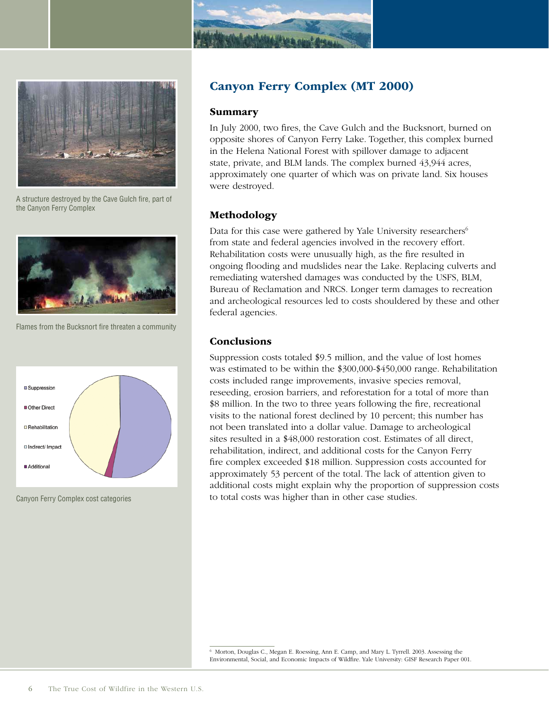



A structure destroyed by the Cave Gulch fire, part of the Canyon Ferry Complex



Flames from the Bucksnort fire threaten a community



Canyon Ferry Complex cost categories

## Canyon Ferry Complex (MT 2000)

#### Summary

 In July 2000, two fires, the Cave Gulch and the Bucksnort, burned on opposite shores of Canyon Ferry Lake. Together, this complex burned in the Helena National Forest with spillover damage to adjacent state, private, and BLM lands. The complex burned 43,944 acres, approximately one quarter of which was on private land. Six houses were destroyed.

#### Methodology

Data for this case were gathered by Yale University researchers<sup>6</sup> from state and federal agencies involved in the recovery effort. Rehabilitation costs were unusually high, as the fire resulted in ongoing flooding and mudslides near the Lake. Replacing culverts and remediating watershed damages was conducted by the USFS, BLM, Bureau of Reclamation and NRCS. Longer term damages to recreation and archeological resources led to costs shouldered by these and other federal agencies.

#### Conclusions

 Suppression costs totaled \$9.5 million, and the value of lost homes was estimated to be within the \$300,000-\$450,000 range. Rehabilitation costs included range improvements, invasive species removal, reseeding, erosion barriers, and reforestation for a total of more than \$8 million. In the two to three years following the fire, recreational visits to the national forest declined by 10 percent; this number has not been translated into a dollar value. Damage to archeological sites resulted in a \$48,000 restoration cost. Estimates of all direct, rehabilitation, indirect, and additional costs for the Canyon Ferry fire complex exceeded \$18 million. Suppression costs accounted for approximately 53 percent of the total. The lack of attention given to additional costs might explain why the proportion of suppression costs to total costs was higher than in other case studies.

 6 Morton, Douglas C., Megan E. Roessing, Ann E. Camp, and Mary L. Tyrrell. 2003. Assessing the Environmental, Social, and Economic Impacts of Wildfire. Yale University: GISF Research Paper 001.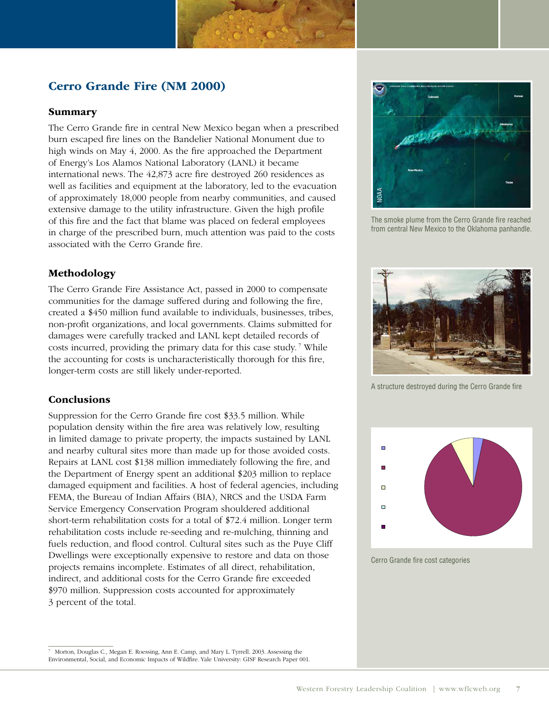## Cerro Grande Fire (NM 2000)

#### Summary

 The Cerro Grande fire in central New Mexico began when a prescribed burn escaped fire lines on the Bandelier National Monument due to high winds on May 4, 2000. As the fire approached the Department of Energy's Los Alamos National Laboratory (LANL) it became international news. The 42,873 acre fire destroyed 260 residences as well as facilities and equipment at the laboratory, led to the evacuation of approximately 18,000 people from nearby communities, and caused extensive damage to the utility infrastructure. Given the high profile of this fire and the fact that blame was placed on federal employees in charge of the prescribed burn, much attention was paid to the costs associated with the Cerro Grande fire.

#### Methodology

 The Cerro Grande Fire Assistance Act, passed in 2000 to compensate communities for the damage suffered during and following the fire, created a \$450 million fund available to individuals, businesses, tribes, non-profit organizations, and local governments. Claims submitted for damages were carefully tracked and LANL kept detailed records of costs incurred, providing the primary data for this case study.<sup>7</sup> While the accounting for costs is uncharacteristically thorough for this fire, longer-term costs are still likely under-reported.

#### Conclusions

 Suppression for the Cerro Grande fire cost \$33.5 million. While population density within the fire area was relatively low, resulting in limited damage to private property, the impacts sustained by LANL and nearby cultural sites more than made up for those avoided costs. Repairs at LANL cost \$138 million immediately following the fire, and the Department of Energy spent an additional \$203 million to replace damaged equipment and facilities. A host of federal agencies, including FEMA, the Bureau of Indian Affairs (BIA), NRCS and the USDA Farm Service Emergency Conservation Program shouldered additional short-term rehabilitation costs for a total of \$72.4 million. Longer term rehabilitation costs include re-seeding and re-mulching, thinning and fuels reduction, and flood control. Cultural sites such as the Puye Cliff Dwellings were exceptionally expensive to restore and data on those projects remains incomplete. Estimates of all direct, rehabilitation, indirect, and additional costs for the Cerro Grande fire exceeded \$970 million. Suppression costs accounted for approximately 3 percent of the total.

The smoke plume from the Cerro Grande fire reached from central New Mexico to the Oklahoma panhandle.



A structure destroyed during the Cerro Grande fire



Cerro Grande fire cost categories

NOAA

 Environmental, Social, and Economic Impacts of Wildfire. Yale University: GISF Research Paper 001. Morton, Douglas C., Megan E. Roessing, Ann E. Camp, and Mary L. Tyrrell. 2003. Assessing the 7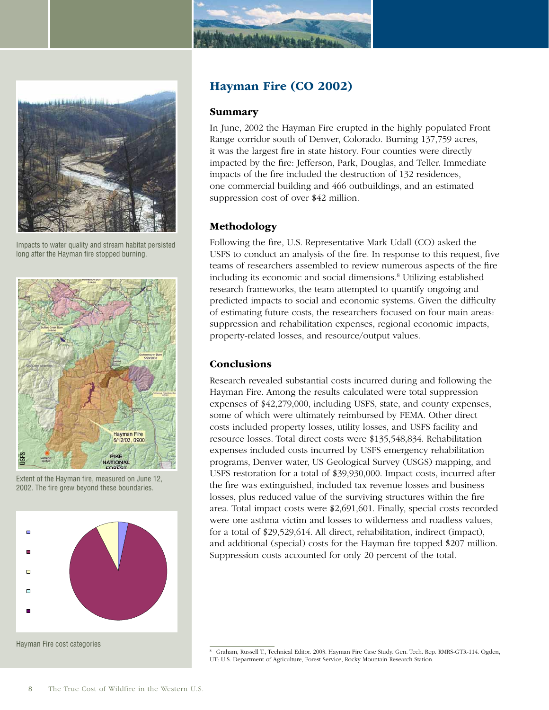



Impacts to water quality and stream habitat persisted long after the Hayman fire stopped burning.



Extent of the Hayman fire, measured on June 12, 2002. The fire grew beyond these boundaries.



#### Hayman Fire (CO 2002)

#### Summary

 In June, 2002 the Hayman Fire erupted in the highly populated Front Range corridor south of Denver, Colorado. Burning 137,759 acres, it was the largest fire in state history. Four counties were directly impacted by the fire: Jefferson, Park, Douglas, and Teller. Immediate impacts of the fire included the destruction of 132 residences, one commercial building and 466 outbuildings, and an estimated suppression cost of over \$42 million.

#### Methodology

 Following the fire, U.S. Representative Mark Udall (CO) asked the USFS to conduct an analysis of the fire. In response to this request, five teams of researchers assembled to review numerous aspects of the fire including its economic and social dimensions.<sup>8</sup> Utilizing established research frameworks, the team attempted to quantify ongoing and predicted impacts to social and economic systems. Given the difficulty of estimating future costs, the researchers focused on four main areas: suppression and rehabilitation expenses, regional economic impacts, property-related losses, and resource/output values.

#### Conclusions

 Research revealed substantial costs incurred during and following the Hayman Fire. Among the results calculated were total suppression expenses of \$42,279,000, including USFS, state, and county expenses, some of which were ultimately reimbursed by FEMA. Other direct costs included property losses, utility losses, and USFS facility and resource losses. Total direct costs were \$135,548,834. Rehabilitation expenses included costs incurred by USFS emergency rehabilitation programs, Denver water, US Geological Survey (USGS) mapping, and USFS restoration for a total of \$39,930,000. Impact costs, incurred after the fire was extinguished, included tax revenue losses and business losses, plus reduced value of the surviving structures within the fire area. Total impact costs were \$2,691,601. Finally, special costs recorded were one asthma victim and losses to wilderness and roadless values, for a total of \$29,529,614. All direct, rehabilitation, indirect (impact), and additional (special) costs for the Hayman fire topped \$207 million. Suppression costs accounted for only 20 percent of the total.

 8 Graham, Russell T., Technical Editor. 2003. Hayman Fire Case Study. Gen. Tech. Rep. RMRS-GTR-114. Ogden, UT: U.S. Department of Agriculture, Forest Service, Rocky Mountain Research Station.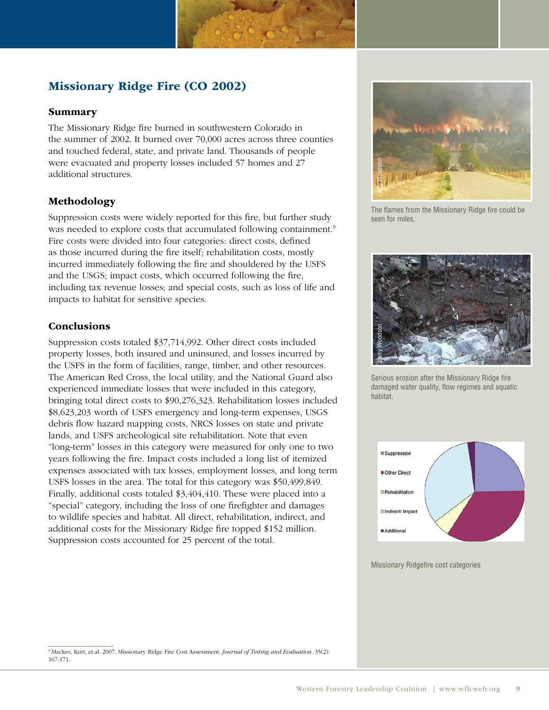## Missionary Ridge Fire (CO 2002)

### Summary

The Missionary Ridge fire burned in southwestern Colorado in the summer of 2002. It burned over 70,000 acres across three counties and touched federal, state, and private land. Thousands of people were evacuated and property losses included 57 homes and 27 additional structures.

## Methodology

Suppression costs were widely reported for this fire, but further study was needed to explore costs that accumulated following containment.<sup>9</sup> Fire costs were divided into four categories: direct costs, defined as those incurred during the fire itself; rehabilitation costs, mostly incurred immediately following the fire and shouldered by the USFS and the USGS; impact costs, which occurred following the fire, including tax revenue losses; and special costs, such as loss of life and impacts to habitat for sensitive species.

## **Conclusions**

Suppression costs totaled \$37,714,992. Other direct costs included property losses, both insured and uninsured, and losses incurred by the USFS in the form of facilities, range, timber, and other resources. The American Red Cross, the local utility, and the National Guard also experienced immediate losses that were included in this category, bringing total direct costs to \$90,276,323. Rehabilitation losses included \$8,623,203 worth of USFS emergency and long-term expenses, USGS debris flow hazard mapping costs, NRCS losses on state and private lands, and USFS archeological site rehabilitation. Note that even "long-term" losses in this category were measured for only one to two years following the fire. Impact costs included a long list of itemized expenses associated with tax losses, employment losses, and long term USFS losses in the area. The total for this category was \$50,499,849. Finally, additional costs totaled \$3,404,410. These were placed into a "special" category, including the loss of one firefighter and damages to wildlife species and habitat. All direct, rehabilitation, indirect, and additional costs for the Missionary Ridge fire topped \$152 million. Suppression costs accounted for 25 percent of the total.



The flames from the Missionary Ridge fire could be seen for miles.



Serious erosion after the Missionary Ridge fire damaged water quality, flow regimes and aquatic habitat.



 9 Mackes, Kurt, et.al. 2007. Missionary Ridge Fire Cost Assessment. *Journal of Testing and Evaluation*. 35(2): 167-171.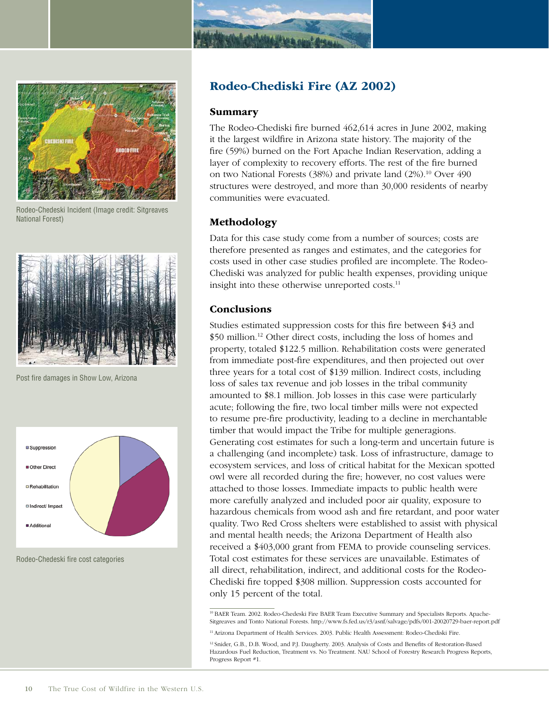



Rodeo-Chedeski Incident (Image credit: Sitgreaves National Forest)



Post fire damages in Show Low, Arizona



Rodeo-Chedeski fire cost categories

## Rodeo-Chediski Fire (AZ 2002)

#### Summary

 The Rodeo-Chediski fire burned 462,614 acres in June 2002, making it the largest wildfire in Arizona state history. The majority of the fire (59%) burned on the Fort Apache Indian Reservation, adding a layer of complexity to recovery efforts. The rest of the fire burned on two National Forests (38%) and private land (2%).<sup>10</sup> Over 490 structures were destroyed, and more than 30,000 residents of nearby communities were evacuated.

#### Methodology

 Data for this case study come from a number of sources; costs are therefore presented as ranges and estimates, and the categories for costs used in other case studies profiled are incomplete. The Rodeo- Chediski was analyzed for public health expenses, providing unique insight into these otherwise unreported costs.<sup>11</sup>

#### **Conclusions**

 Studies estimated suppression costs for this fire between \$43 and \$50 million.<sup>12</sup> Other direct costs, including the loss of homes and property, totaled \$122.5 million. Rehabilitation costs were generated from immediate post-fire expenditures, and then projected out over three years for a total cost of \$139 million. Indirect costs, including loss of sales tax revenue and job losses in the tribal community amounted to \$8.1 million. Job losses in this case were particularly acute; following the fire, two local timber mills were not expected to resume pre-fire productivity, leading to a decline in merchantable timber that would impact the Tribe for multiple generagions. Generating cost estimates for such a long-term and uncertain future is a challenging (and incomplete) task. Loss of infrastructure, damage to ecosystem services, and loss of critical habitat for the Mexican spotted owl were all recorded during the fire; however, no cost values were attached to those losses. Immediate impacts to public health were more carefully analyzed and included poor air quality, exposure to hazardous chemicals from wood ash and fire retardant, and poor water quality. Two Red Cross shelters were established to assist with physical and mental health needs; the Arizona Department of Health also received a \$403,000 grant from FEMA to provide counseling services. Total cost estimates for these services are unavailable. Estimates of all direct, rehabilitation, indirect, and additional costs for the Rodeo- Chediski fire topped \$308 million. Suppression costs accounted for only 15 percent of the total.

<sup>10</sup> BAER Team. 2002. Rodeo-Chedeski Fire BAER Team Executive Summary and Specialists Reports. Apache-Sitgreaves and Tonto National Forests. http://www.fs.fed.us/r3/asnf/salvage/pdfs/001-20020729-baer-report.pdf

11 Arizona Department of Health Services. 2003. Public Health Assessment: Rodeo-Chediski Fire.

<sup>&</sup>lt;sup>12</sup> Snider, G.B., D.B. Wood, and P.J. Daugherty. 2003. Analysis of Costs and Benefits of Restoration-Based Hazardous Fuel Reduction, Treatment vs. No Treatment. NAU School of Forestry Research Progress Reports, Progress Report #1.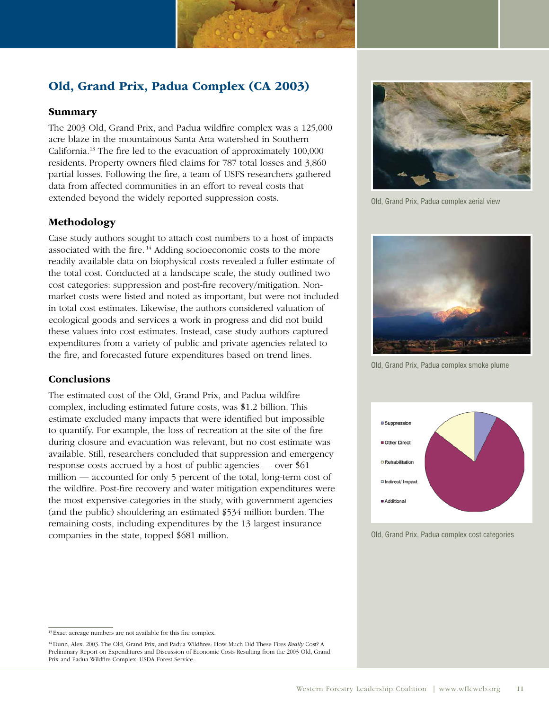## Old, Grand Prix, Padua Complex (CA 2003)

#### Summary

 The 2003 Old, Grand Prix, and Padua wildfire complex was a 125,000 acre blaze in the mountainous Santa Ana watershed in Southern California.13 The fire led to the evacuation of approximately 100,000 residents. Property owners filed claims for 787 total losses and 3,860 partial losses. Following the fire, a team of USFS researchers gathered data from affected communities in an effort to reveal costs that extended beyond the widely reported suppression costs.

#### Methodology

 Case study authors sought to attach cost numbers to a host of impacts associated with the fire.<sup>14</sup> Adding socioeconomic costs to the more readily available data on biophysical costs revealed a fuller estimate of the total cost. Conducted at a landscape scale, the study outlined two cost categories: suppression and post-fire recovery/mitigation. Non- market costs were listed and noted as important, but were not included in total cost estimates. Likewise, the authors considered valuation of ecological goods and services a work in progress and did not build these values into cost estimates. Instead, case study authors captured expenditures from a variety of public and private agencies related to the fire, and forecasted future expenditures based on trend lines.

#### Conclusions

 The estimated cost of the Old, Grand Prix, and Padua wildfire complex, including estimated future costs, was \$1.2 billion. This estimate excluded many impacts that were identified but impossible to quantify. For example, the loss of recreation at the site of the fire during closure and evacuation was relevant, but no cost estimate was available. Still, researchers concluded that suppression and emergency response costs accrued by a host of public agencies — over \$61 million — accounted for only 5 percent of the total, long-term cost of the wildfire. Post-fire recovery and water mitigation expenditures were the most expensive categories in the study, with government agencies (and the public) shouldering an estimated \$534 million burden. The remaining costs, including expenditures by the 13 largest insurance companies in the state, topped \$681 million.



Old, Grand Prix, Padua complex aerial view



Old, Grand Prix, Padua complex smoke plume



Old, Grand Prix, Padua complex cost categories

 14 Dunn, Alex. 2003. The Old, Grand Prix, and Padua Wildfires: How Much Did These Fires *Really* Cost? A Preliminary Report on Expenditures and Discussion of Economic Costs Resulting from the 2003 Old, Grand Prix and Padua Wildfire Complex. USDA Forest Service.

<sup>&</sup>lt;sup>13</sup> Exact acreage numbers are not available for this fire complex.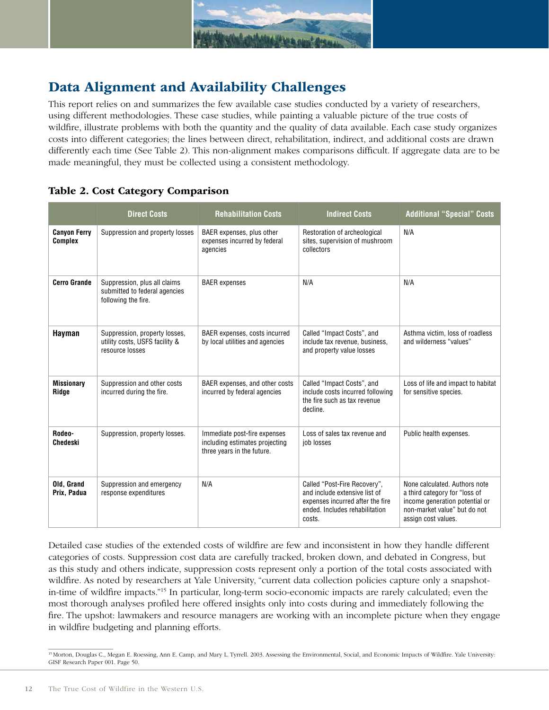

## Data Alignment and Availability Challenges

 This report relies on and summarizes the few available case studies conducted by a variety of researchers, using different methodologies. These case studies, while painting a valuable picture of the true costs of wildfire, illustrate problems with both the quantity and the quality of data available. Each case study organizes costs into different categories; the lines between direct, rehabilitation, indirect, and additional costs are drawn differently each time (See Table 2). This non-alignment makes comparisons difficult. If aggregate data are to be made meaningful, they must be collected using a consistent methodology.

### Table 2. Cost Category Comparison

|                                       | <b>Direct Costs</b>                                                                  | <b>Rehabilitation Costs</b>                                                                  | <b>Indirect Costs</b>                                                                                                                         | <b>Additional "Special" Costs</b>                                                                                                                       |
|---------------------------------------|--------------------------------------------------------------------------------------|----------------------------------------------------------------------------------------------|-----------------------------------------------------------------------------------------------------------------------------------------------|---------------------------------------------------------------------------------------------------------------------------------------------------------|
| <b>Canyon Ferry</b><br><b>Complex</b> | Suppression and property losses                                                      | BAER expenses, plus other<br>expenses incurred by federal<br>agencies                        | Restoration of archeological<br>sites, supervision of mushroom<br>collectors                                                                  | N/A                                                                                                                                                     |
| <b>Cerro Grande</b>                   | Suppression, plus all claims<br>submitted to federal agencies<br>following the fire. | <b>BAER</b> expenses                                                                         | N/A                                                                                                                                           | N/A                                                                                                                                                     |
| Hayman                                | Suppression, property losses,<br>utility costs, USFS facility &<br>resource losses   | BAER expenses, costs incurred<br>by local utilities and agencies                             | Called "Impact Costs", and<br>include tax revenue, business,<br>and property value losses                                                     | Asthma victim, loss of roadless<br>and wilderness "values"                                                                                              |
| <b>Missionary</b><br>Ridge            | Suppression and other costs<br>incurred during the fire.                             | BAER expenses, and other costs<br>incurred by federal agencies                               | Called "Impact Costs", and<br>include costs incurred following<br>the fire such as tax revenue<br>decline.                                    | Loss of life and impact to habitat<br>for sensitive species.                                                                                            |
| Rodeo-<br>Chedeski                    | Suppression, property losses.                                                        | Immediate post-fire expenses<br>including estimates projecting<br>three years in the future. | Loss of sales tax revenue and<br>job losses                                                                                                   | Public health expenses.                                                                                                                                 |
| Old, Grand<br>Prix, Padua             | Suppression and emergency<br>response expenditures                                   | N/A                                                                                          | Called "Post-Fire Recovery",<br>and include extensive list of<br>expenses incurred after the fire<br>ended. Includes rehabilitation<br>costs. | None calculated. Authors note<br>a third category for "loss of<br>income generation potential or<br>non-market value" but do not<br>assign cost values. |

 Detailed case studies of the extended costs of wildfire are few and inconsistent in how they handle different categories of costs. Suppression cost data are carefully tracked, broken down, and debated in Congress, but as this study and others indicate, suppression costs represent only a portion of the total costs associated with wildfire. As noted by researchers at Yale University, "current data collection policies capture only a snapshot- in-time of wildfire impacts."15 In particular, long-term socio-economic impacts are rarely calculated; even the most thorough analyses profiled here offered insights only into costs during and immediately following the fire. The upshot: lawmakers and resource managers are working with an incomplete picture when they engage in wildfire budgeting and planning efforts.

<sup>&</sup>lt;sup>15</sup> Morton, Douglas C., Megan E. Roessing, Ann E. Camp, and Mary L. Tyrrell. 2003. Assessing the Environmental, Social, and Economic Impacts of Wildfire. Yale University: GISF Research Paper 001. Page 50.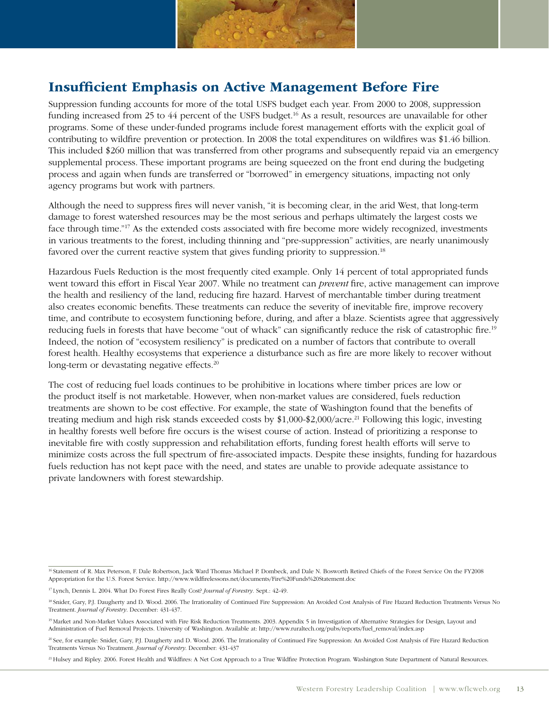

## Insufficient Emphasis on Active Management Before Fire

 Suppression funding accounts for more of the total USFS budget each year. From 2000 to 2008, suppression funding increased from 25 to 44 percent of the USFS budget.<sup>16</sup> As a result, resources are unavailable for other programs. Some of these under-funded programs include forest management efforts with the explicit goal of contributing to wildfire prevention or protection. In 2008 the total expenditures on wildfires was \$1.46 billion. This included \$260 million that was transferred from other programs and subsequently repaid via an emergency supplemental process. These important programs are being squeezed on the front end during the budgeting process and again when funds are transferred or "borrowed" in emergency situations, impacting not only agency programs but work with partners.

 Although the need to suppress fires will never vanish, "it is becoming clear, in the arid West, that long-term damage to forest watershed resources may be the most serious and perhaps ultimately the largest costs we face through time."17 As the extended costs associated with fire become more widely recognized, investments in various treatments to the forest, including thinning and "pre-suppression" activities, are nearly unanimously favored over the current reactive system that gives funding priority to suppression.<sup>18</sup>

 Hazardous Fuels Reduction is the most frequently cited example. Only 14 percent of total appropriated funds went toward this effort in Fiscal Year 2007. While no treatment can *prevent* fire, active management can improve the health and resiliency of the land, reducing fire hazard. Harvest of merchantable timber during treatment also creates economic benefits. These treatments can reduce the severity of inevitable fire, improve recovery time, and contribute to ecosystem functioning before, during, and after a blaze. Scientists agree that aggressively reducing fuels in forests that have become "out of whack" can significantly reduce the risk of catastrophic fire.<sup>19</sup> Indeed, the notion of "ecosystem resiliency" is predicated on a number of factors that contribute to overall forest health. Healthy ecosystems that experience a disturbance such as fire are more likely to recover without long-term or devastating negative effects.<sup>20</sup>

 The cost of reducing fuel loads continues to be prohibitive in locations where timber prices are low or the product itself is not marketable. However, when non-market values are considered, fuels reduction treatments are shown to be cost effective. For example, the state of Washington found that the benefits of treating medium and high risk stands exceeded costs by \$1,000-\$2,000/acre.<sup>21</sup> Following this logic, investing in healthy forests well before fire occurs is the wisest course of action. Instead of prioritizing a response to inevitable fire with costly suppression and rehabilitation efforts, funding forest health efforts will serve to minimize costs across the full spectrum of fire-associated impacts. Despite these insights, funding for hazardous fuels reduction has not kept pace with the need, and states are unable to provide adequate assistance to private landowners with forest stewardship.

 16 Statement of R. Max Peterson, F. Dale Robertson, Jack Ward Thomas Michael P. Dombeck, and Dale N. Bosworth Retired Chiefs of the Forest Service On the FY2008 Appropriation for the U.S. Forest Service. http://www.wildfirelessons.net/documents/Fire%20Funds%20Statement.doc

 17 Lynch, Dennis L. 2004. What Do Forest Fires Really Cost? *Journal of Forestry.* Sept.: 42-49.

<sup>&</sup>lt;sup>18</sup> Snider, Gary, P.J. Daugherty and D. Wood. 2006. The Irrationality of Continued Fire Suppression: An Avoided Cost Analysis of Fire Hazard Reduction Treatments Versus No  Treatment. *Journal of Forestry*. December: 431-437.

<sup>&</sup>lt;sup>19</sup> Market and Non-Market Values Associated with Fire Risk Reduction Treatments. 2003. Appendix 5 in Investigation of Alternative Strategies for Design, Layout and Administration of Fuel Removal Projects. University of Washington. Available at: http://www.ruraltech.org/pubs/reports/fuel\_removal/index.asp

<sup>20</sup> See, for example: Snider, Gary, P.J. Daugherty and D. Wood. 2006. The Irrationality of Continued Fire Suppression: An Avoided Cost Analysis of Fire Hazard Reduction Treatments Versus No Treatment. *Journal of Forestry*. December: 431-437

<sup>&</sup>lt;sup>21</sup> Hulsey and Ripley. 2006. Forest Health and Wildfires: A Net Cost Approach to a True Wildfire Protection Program. Washington State Department of Natural Resources.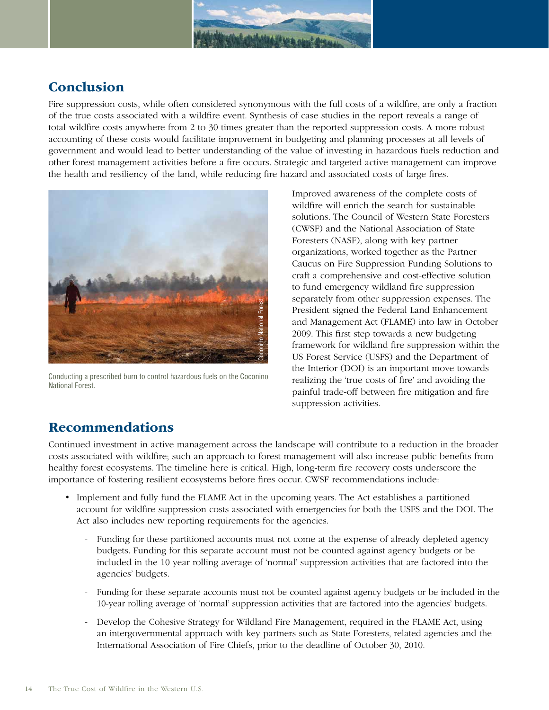

## **Conclusion**

 Fire suppression costs, while often considered synonymous with the full costs of a wildfire, are only a fraction of the true costs associated with a wildfire event. Synthesis of case studies in the report reveals a range of total wildfire costs anywhere from 2 to 30 times greater than the reported suppression costs. A more robust accounting of these costs would facilitate improvement in budgeting and planning processes at all levels of government and would lead to better understanding of the value of investing in hazardous fuels reduction and other forest management activities before a fire occurs. Strategic and targeted active management can improve the health and resiliency of the land, while reducing fire hazard and associated costs of large fires.



Conducting a prescribed burn to control hazardous fuels on the Coconino National Forest.

 Improved awareness of the complete costs of wildfire will enrich the search for sustainable solutions. The Council of Western State Foresters (CWSF) and the National Association of State Foresters (NASF), along with key partner organizations, worked together as the Partner Caucus on Fire Suppression Funding Solutions to craft a comprehensive and cost-effective solution to fund emergency wildland fire suppression separately from other suppression expenses. The President signed the Federal Land Enhancement and Management Act (FLAME) into law in October 2009. This first step towards a new budgeting framework for wildland fire suppression within the US Forest Service (USFS) and the Department of the Interior (DOI) is an important move towards realizing the 'true costs of fire' and avoiding the painful trade-off between fire mitigation and fire suppression activities.

## Recommendations

 Continued investment in active management across the landscape will contribute to a reduction in the broader costs associated with wildfire; such an approach to forest management will also increase public benefits from healthy forest ecosystems. The timeline here is critical. High, long-term fire recovery costs underscore the importance of fostering resilient ecosystems before fires occur. CWSF recommendations include:

- Implement and fully fund the FLAME Act in the upcoming years. The Act establishes a partitioned account for wildfire suppression costs associated with emergencies for both the USFS and the DOI. The Act also includes new reporting requirements for the agencies.
- budgets. Funding for this separate account must not be counted against agency budgets or be included in the 10-year rolling average of 'normal' suppression activities that are factored into the Funding for these partitioned accounts must not come at the expense of already depleted agency agencies' budgets. President missociation of Fire Homes Superinternational Association of Fire Chiefs, prior to the deadline of October 30, 2010. The first step towards a new outlet to the members are service (USES) and the suppression activ
	- - Funding for these separate accounts must not be counted against agency budgets or be included in the 10-year rolling average of 'normal' suppression activities that are factored into the agencies' budgets.
	- - Develop the Cohesive Strategy for Wildland Fire Management, required in the FLAME Act, using an intergovernmental approach with key partners such as State Foresters, related agencies and the International Association of Fire Chiefs, prior to the deadline of October 30, 2010.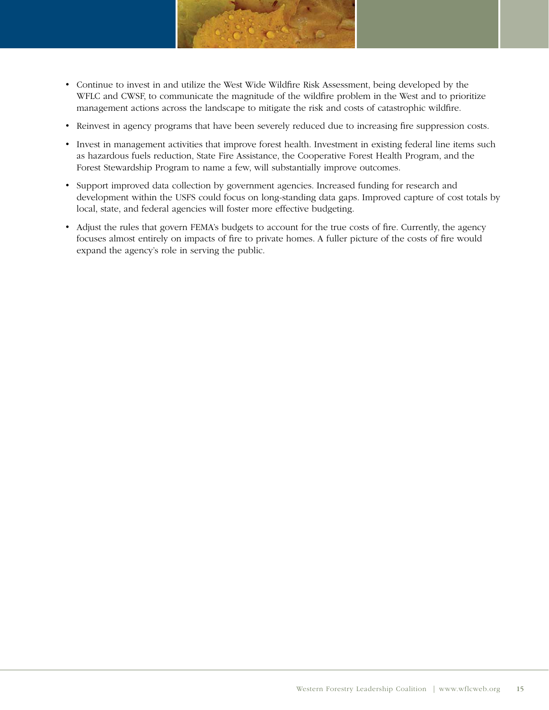

- • � Continue to invest in and utilize the West Wide Wildfire Risk Assessment, being developed by the WFLC and CWSF, to communicate the magnitude of the wildfire problem in the West and to prioritize management actions across the landscape to mitigate the risk and costs of catastrophic wildfire.
- • � Reinvest in agency programs that have been severely reduced due to increasing fire suppression costs.
- • � Invest in management activities that improve forest health. Investment in existing federal line items such as hazardous fuels reduction, State Fire Assistance, the Cooperative Forest Health Program, and the Forest Stewardship Program to name a few, will substantially improve outcomes.
- • � Support improved data collection by government agencies. Increased funding for research and development within the USFS could focus on long-standing data gaps. Improved capture of cost totals by local, state, and federal agencies will foster more effective budgeting.
- Adjust the rules that govern FEMA's budgets to account for the true costs of fire. Currently, the agency focuses almost entirely on impacts of fire to private homes. A fuller picture of the costs of fire would expand the agency's role in serving the public.